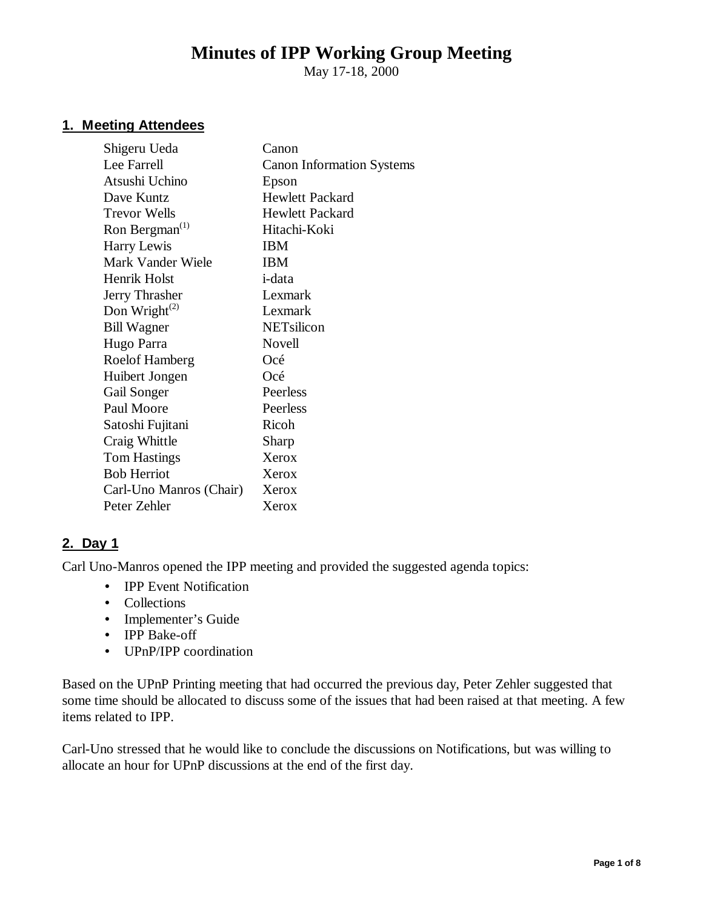# **Minutes of IPP Working Group Meeting**

May 17-18, 2000

## **1. Meeting Attendees**

| Shigeru Ueda               | Canon                            |
|----------------------------|----------------------------------|
| Lee Farrell                | <b>Canon Information Systems</b> |
| Atsushi Uchino             | Epson                            |
| Dave Kuntz                 | <b>Hewlett Packard</b>           |
| <b>Trevor Wells</b>        | <b>Hewlett Packard</b>           |
| Ron Bergman <sup>(1)</sup> | Hitachi-Koki                     |
| Harry Lewis                | IBM                              |
| Mark Vander Wiele          | IBM                              |
| Henrik Holst               | <i>i</i> -data                   |
| Jerry Thrasher             | Lexmark                          |
| Don Wright $^{(2)}$        | Lexmark                          |
| <b>Bill Wagner</b>         | NETsilicon                       |
| Hugo Parra                 | Novell                           |
| <b>Roelof Hamberg</b>      | Océ                              |
| Huibert Jongen             | Océ                              |
| Gail Songer                | Peerless                         |
| Paul Moore                 | Peerless                         |
| Satoshi Fujitani           | Ricoh                            |
| Craig Whittle              | Sharp                            |
| <b>Tom Hastings</b>        | Xerox                            |
| <b>Bob Herriot</b>         | Xerox                            |
| Carl-Uno Manros (Chair)    | Xerox                            |
| Peter Zehler               | Xerox                            |
|                            |                                  |

## **2. Day 1**

Carl Uno-Manros opened the IPP meeting and provided the suggested agenda topics:

- IPP Event Notification
- Collections
- Implementer's Guide
- IPP Bake-off
- UPnP/IPP coordination

Based on the UPnP Printing meeting that had occurred the previous day, Peter Zehler suggested that some time should be allocated to discuss some of the issues that had been raised at that meeting. A few items related to IPP.

Carl-Uno stressed that he would like to conclude the discussions on Notifications, but was willing to allocate an hour for UPnP discussions at the end of the first day.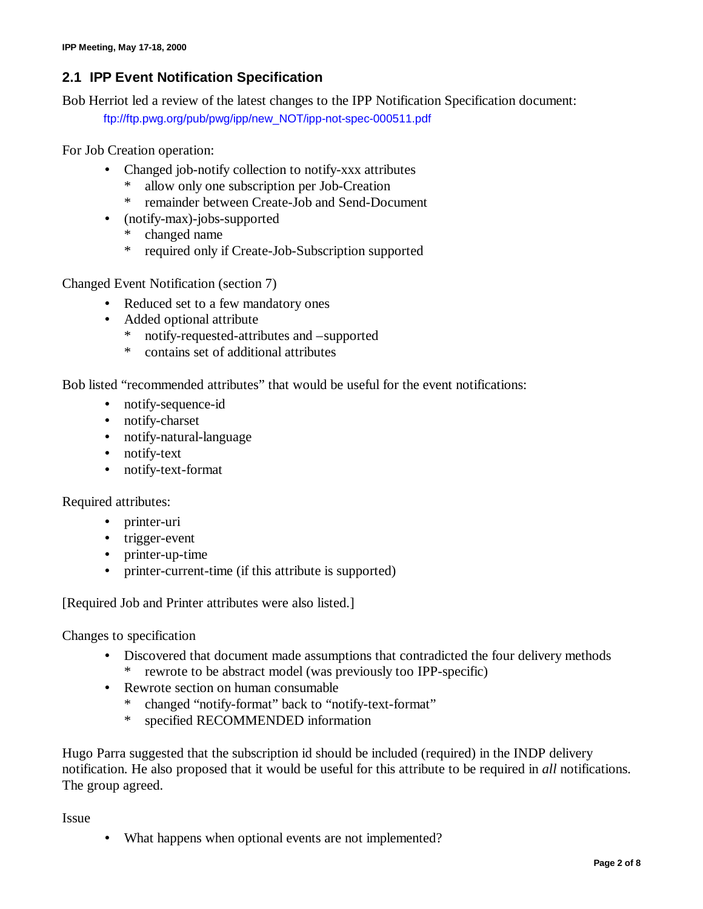# **2.1 IPP Event Notification Specification**

Bob Herriot led a review of the latest changes to the IPP Notification Specification document:

ftp://ftp.pwg.org/pub/pwg/ipp/new\_NOT/ipp-not-spec-000511.pdf

For Job Creation operation:

- Changed job-notify collection to notify-xxx attributes
	- allow only one subscription per Job-Creation
	- \* remainder between Create-Job and Send-Document
- (notify-max)-jobs-supported
	- \* changed name
	- \* required only if Create-Job-Subscription supported

Changed Event Notification (section 7)

- Reduced set to a few mandatory ones
- Added optional attribute
	- \* notify-requested-attributes and –supported
	- \* contains set of additional attributes

Bob listed "recommended attributes" that would be useful for the event notifications:

- notify-sequence-id
- notify-charset
- notify-natural-language
- notify-text
- notify-text-format

Required attributes:

- printer-uri
- trigger-event
- printer-up-time
- printer-current-time (if this attribute is supported)

[Required Job and Printer attributes were also listed.]

Changes to specification

- Discovered that document made assumptions that contradicted the four delivery methods
	- rewrote to be abstract model (was previously too IPP-specific)
- Rewrote section on human consumable
	- \* changed "notify-format" back to "notify-text-format"
	- \* specified RECOMMENDED information

Hugo Parra suggested that the subscription id should be included (required) in the INDP delivery notification. He also proposed that it would be useful for this attribute to be required in *all* notifications. The group agreed.

Issue

• What happens when optional events are not implemented?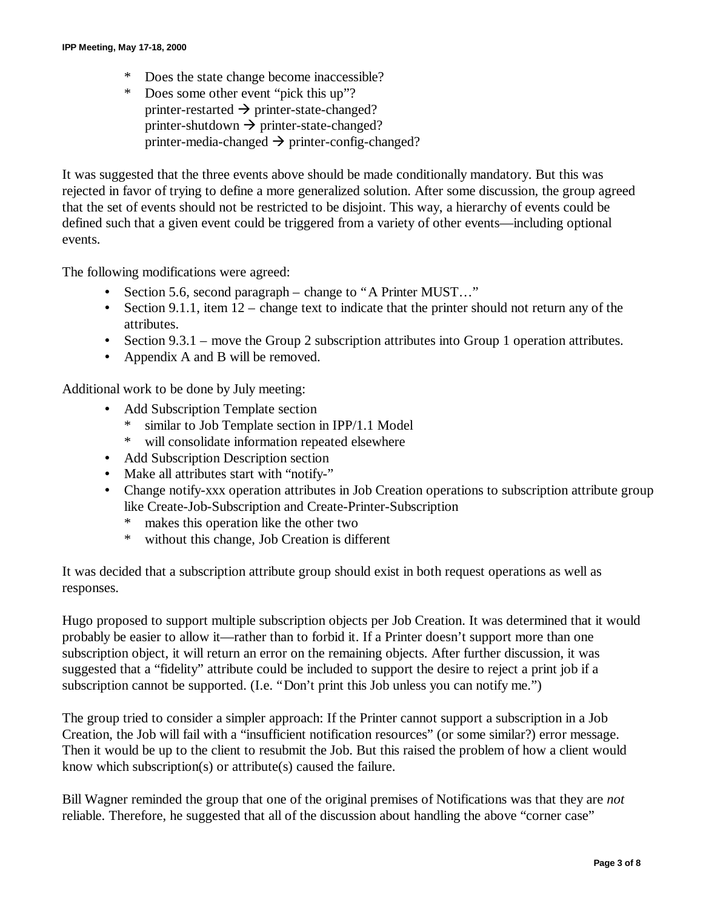- \* Does the state change become inaccessible?
- \* Does some other event "pick this up"? printer-restarted  $\rightarrow$  printer-state-changed? printer-shutdown  $\rightarrow$  printer-state-changed? printer-media-changed  $\rightarrow$  printer-config-changed?

It was suggested that the three events above should be made conditionally mandatory. But this was rejected in favor of trying to define a more generalized solution. After some discussion, the group agreed that the set of events should not be restricted to be disjoint. This way, a hierarchy of events could be defined such that a given event could be triggered from a variety of other events— including optional events.

The following modifications were agreed:

- Section 5.6, second paragraph change to "A Printer MUST..."
- Section 9.1.1, item  $12$  change text to indicate that the printer should not return any of the attributes.
- Section  $9.3.1$  move the Group 2 subscription attributes into Group 1 operation attributes.
- Appendix A and B will be removed.

Additional work to be done by July meeting:

- Add Subscription Template section
	- similar to Job Template section in IPP/1.1 Model
	- \* will consolidate information repeated elsewhere
- Add Subscription Description section
- Make all attributes start with "notify-"
- Change notify-xxx operation attributes in Job Creation operations to subscription attribute group like Create-Job-Subscription and Create-Printer-Subscription
	- makes this operation like the other two
	- \* without this change, Job Creation is different

It was decided that a subscription attribute group should exist in both request operations as well as responses.

Hugo proposed to support multiple subscription objects per Job Creation. It was determined that it would probably be easier to allow it— rather than to forbid it. If a Printer doesn't support more than one subscription object, it will return an error on the remaining objects. After further discussion, it was suggested that a "fidelity" attribute could be included to support the desire to reject a print job if a subscription cannot be supported. (I.e. "Don't print this Job unless you can notify me.")

The group tried to consider a simpler approach: If the Printer cannot support a subscription in a Job Creation, the Job will fail with a "insufficient notification resources" (or some similar?) error message. Then it would be up to the client to resubmit the Job. But this raised the problem of how a client would know which subscription(s) or attribute(s) caused the failure.

Bill Wagner reminded the group that one of the original premises of Notifications was that they are *not* reliable. Therefore, he suggested that all of the discussion about handling the above "corner case"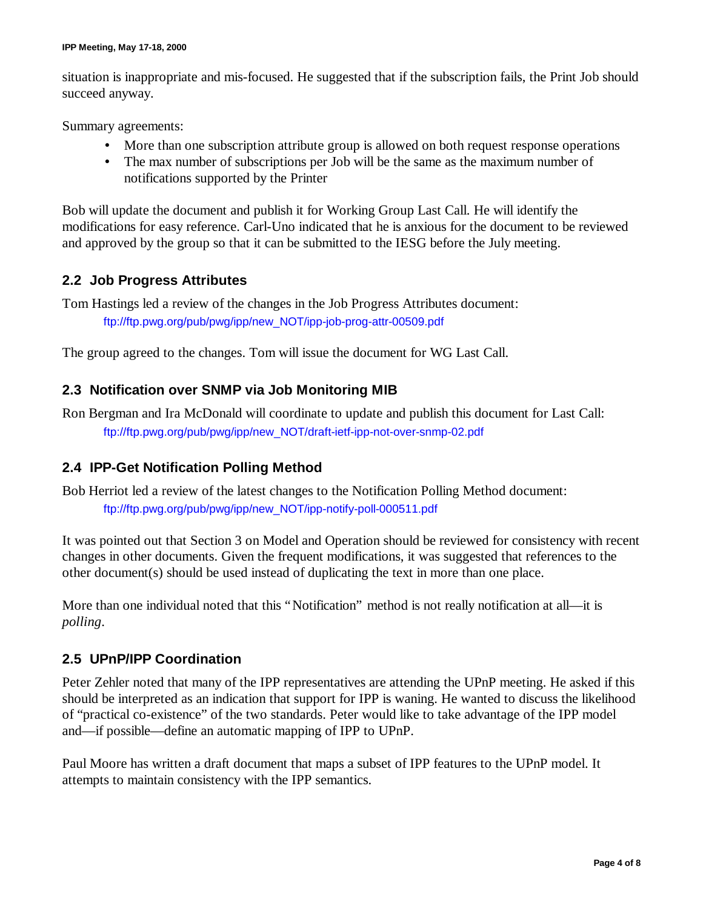situation is inappropriate and mis-focused. He suggested that if the subscription fails, the Print Job should succeed anyway.

Summary agreements:

- More than one subscription attribute group is allowed on both request response operations
- The max number of subscriptions per Job will be the same as the maximum number of notifications supported by the Printer

Bob will update the document and publish it for Working Group Last Call. He will identify the modifications for easy reference. Carl-Uno indicated that he is anxious for the document to be reviewed and approved by the group so that it can be submitted to the IESG before the July meeting.

## **2.2 Job Progress Attributes**

Tom Hastings led a review of the changes in the Job Progress Attributes document: ftp://ftp.pwg.org/pub/pwg/ipp/new\_NOT/ipp-job-prog-attr-00509.pdf

The group agreed to the changes. Tom will issue the document for WG Last Call.

## **2.3 Notification over SNMP via Job Monitoring MIB**

Ron Bergman and Ira McDonald will coordinate to update and publish this document for Last Call: ftp://ftp.pwg.org/pub/pwg/ipp/new\_NOT/draft-ietf-ipp-not-over-snmp-02.pdf

## **2.4 IPP-Get Notification Polling Method**

Bob Herriot led a review of the latest changes to the Notification Polling Method document: ftp://ftp.pwg.org/pub/pwg/ipp/new\_NOT/ipp-notify-poll-000511.pdf

It was pointed out that Section 3 on Model and Operation should be reviewed for consistency with recent changes in other documents. Given the frequent modifications, it was suggested that references to the other document(s) should be used instead of duplicating the text in more than one place.

More than one individual noted that this "Notification" method is not really notification at all—it is *polling*.

## **2.5 UPnP/IPP Coordination**

Peter Zehler noted that many of the IPP representatives are attending the UPnP meeting. He asked if this should be interpreted as an indication that support for IPP is waning. He wanted to discuss the likelihood of "practical co-existence" of the two standards. Peter would like to take advantage of the IPP model and— if possible— define an automatic mapping of IPP to UPnP.

Paul Moore has written a draft document that maps a subset of IPP features to the UPnP model. It attempts to maintain consistency with the IPP semantics.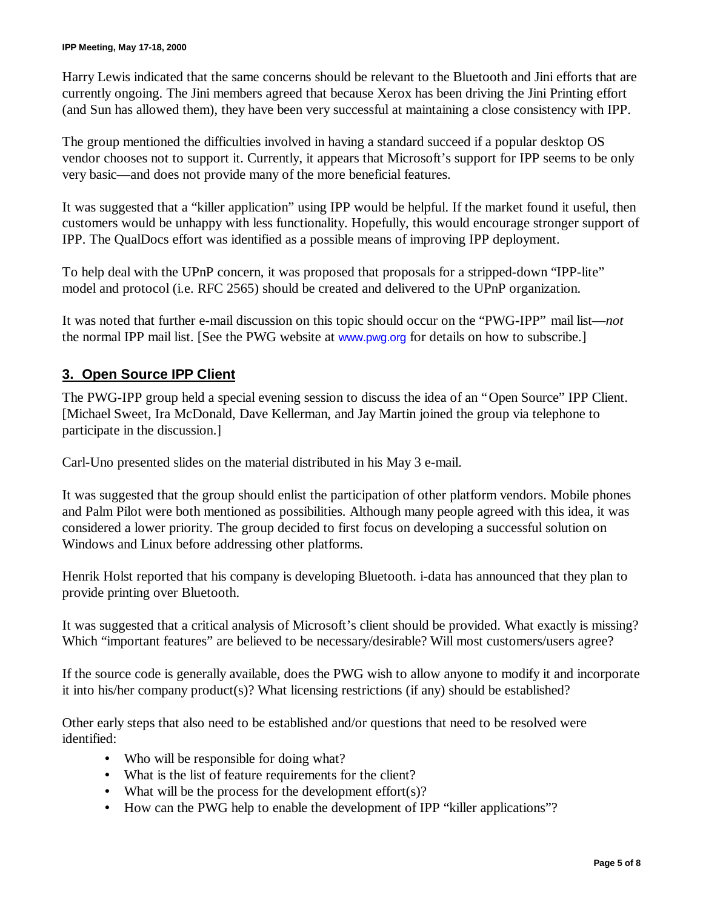Harry Lewis indicated that the same concerns should be relevant to the Bluetooth and Jini efforts that are currently ongoing. The Jini members agreed that because Xerox has been driving the Jini Printing effort (and Sun has allowed them), they have been very successful at maintaining a close consistency with IPP.

The group mentioned the difficulties involved in having a standard succeed if a popular desktop OS vendor chooses not to support it. Currently, it appears that Microsoft's support for IPP seems to be only very basic— and does not provide many of the more beneficial features.

It was suggested that a "killer application" using IPP would be helpful. If the market found it useful, then customers would be unhappy with less functionality. Hopefully, this would encourage stronger support of IPP. The QualDocs effort was identified as a possible means of improving IPP deployment.

To help deal with the UPnP concern, it was proposed that proposals for a stripped-down "IPP-lite" model and protocol (i.e. RFC 2565) should be created and delivered to the UPnP organization.

It was noted that further e-mail discussion on this topic should occur on the "PWG-IPP" mail list— *not* the normal IPP mail list. [See the PWG website at www.pwg.org for details on how to subscribe.]

## **3. Open Source IPP Client**

The PWG-IPP group held a special evening session to discuss the idea of an "Open Source" IPP Client. [Michael Sweet, Ira McDonald, Dave Kellerman, and Jay Martin joined the group via telephone to participate in the discussion.]

Carl-Uno presented slides on the material distributed in his May 3 e-mail.

It was suggested that the group should enlist the participation of other platform vendors. Mobile phones and Palm Pilot were both mentioned as possibilities. Although many people agreed with this idea, it was considered a lower priority. The group decided to first focus on developing a successful solution on Windows and Linux before addressing other platforms.

Henrik Holst reported that his company is developing Bluetooth. i-data has announced that they plan to provide printing over Bluetooth.

It was suggested that a critical analysis of Microsoft's client should be provided. What exactly is missing? Which "important features" are believed to be necessary/desirable? Will most customers/users agree?

If the source code is generally available, does the PWG wish to allow anyone to modify it and incorporate it into his/her company product(s)? What licensing restrictions (if any) should be established?

Other early steps that also need to be established and/or questions that need to be resolved were identified:

- Who will be responsible for doing what?
- What is the list of feature requirements for the client?
- What will be the process for the development  $effort(s)$ ?
- How can the PWG help to enable the development of IPP "killer applications"?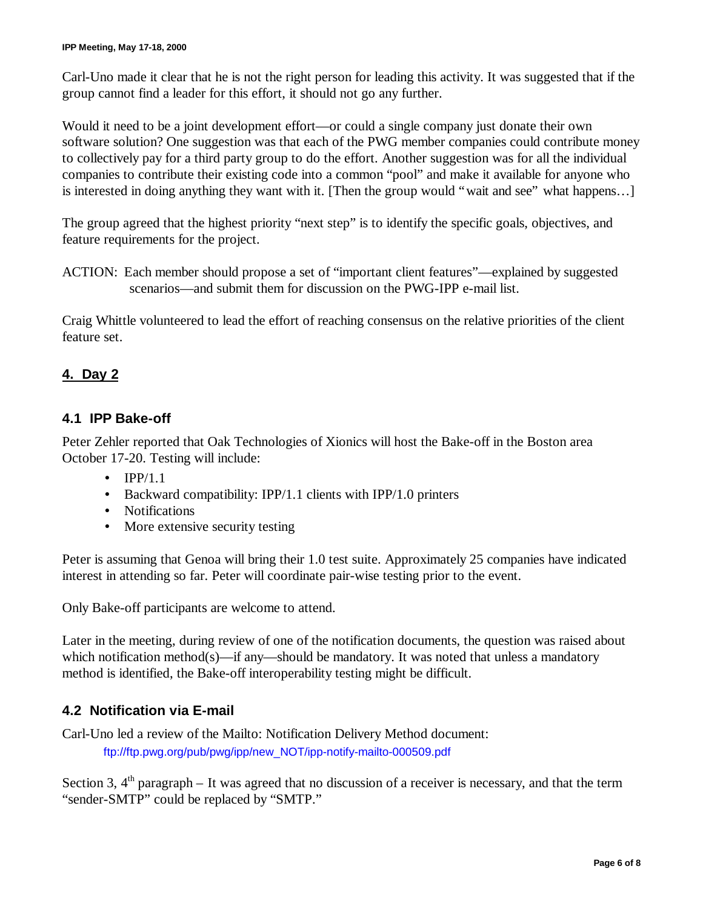Carl-Uno made it clear that he is not the right person for leading this activity. It was suggested that if the group cannot find a leader for this effort, it should not go any further.

Would it need to be a joint development effort— or could a single company just donate their own software solution? One suggestion was that each of the PWG member companies could contribute money to collectively pay for a third party group to do the effort. Another suggestion was for all the individual companies to contribute their existing code into a common "pool" and make it available for anyone who is interested in doing anything they want with it. [Then the group would "wait and see" what happens… ]

The group agreed that the highest priority "next step" is to identify the specific goals, objectives, and feature requirements for the project.

Craig Whittle volunteered to lead the effort of reaching consensus on the relative priorities of the client feature set.

## **4. Day 2**

#### **4.1 IPP Bake-off**

Peter Zehler reported that Oak Technologies of Xionics will host the Bake-off in the Boston area October 17-20. Testing will include:

- $\bullet$  IPP/1.1
- Backward compatibility: IPP/1.1 clients with IPP/1.0 printers
- Notifications
- More extensive security testing

Peter is assuming that Genoa will bring their 1.0 test suite. Approximately 25 companies have indicated interest in attending so far. Peter will coordinate pair-wise testing prior to the event.

Only Bake-off participants are welcome to attend.

Later in the meeting, during review of one of the notification documents, the question was raised about which notification method(s)—if any—should be mandatory. It was noted that unless a mandatory method is identified, the Bake-off interoperability testing might be difficult.

#### **4.2 Notification via E-mail**

Carl-Uno led a review of the Mailto: Notification Delivery Method document: ftp://ftp.pwg.org/pub/pwg/ipp/new\_NOT/ipp-notify-mailto-000509.pdf

Section 3,  $4<sup>th</sup>$  paragraph – It was agreed that no discussion of a receiver is necessary, and that the term "sender-SMTP" could be replaced by "SMTP."

ACTION: Each member should propose a set of "important client features"— explained by suggested scenarios— and submit them for discussion on the PWG-IPP e-mail list.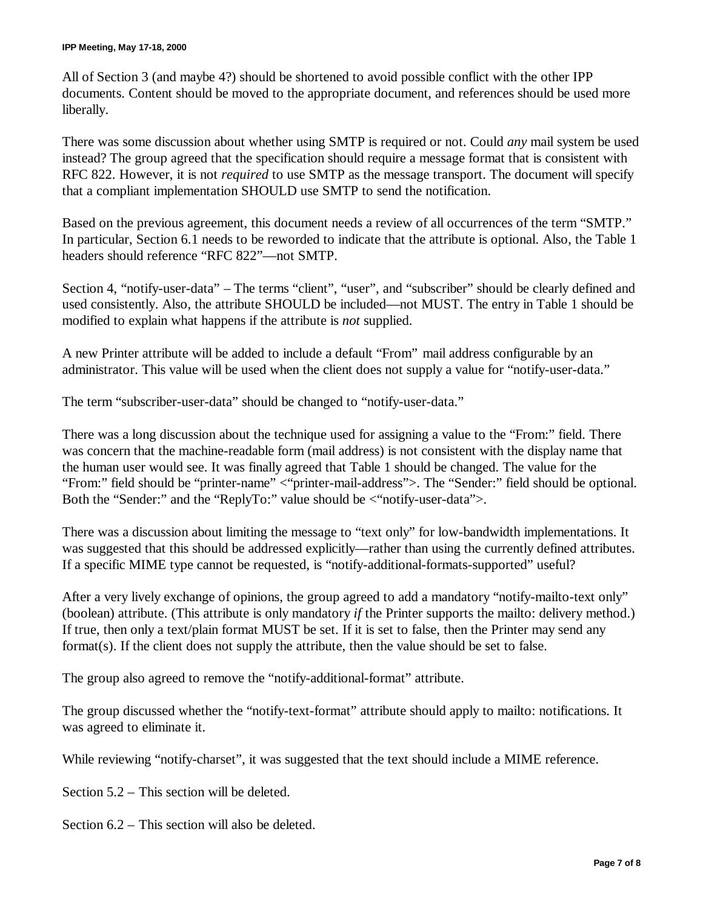All of Section 3 (and maybe 4?) should be shortened to avoid possible conflict with the other IPP documents. Content should be moved to the appropriate document, and references should be used more liberally.

There was some discussion about whether using SMTP is required or not. Could *any* mail system be used instead? The group agreed that the specification should require a message format that is consistent with RFC 822. However, it is not *required* to use SMTP as the message transport. The document will specify that a compliant implementation SHOULD use SMTP to send the notification.

Based on the previous agreement, this document needs a review of all occurrences of the term "SMTP." In particular, Section 6.1 needs to be reworded to indicate that the attribute is optional. Also, the Table 1 headers should reference "RFC 822"— not SMTP.

Section 4, "notify-user-data" – The terms "client", "user", and "subscriber" should be clearly defined and used consistently. Also, the attribute SHOULD be included— not MUST. The entry in Table 1 should be modified to explain what happens if the attribute is *not* supplied.

A new Printer attribute will be added to include a default "From" mail address configurable by an administrator. This value will be used when the client does not supply a value for "notify-user-data."

The term "subscriber-user-data" should be changed to "notify-user-data."

There was a long discussion about the technique used for assigning a value to the "From:" field. There was concern that the machine-readable form (mail address) is not consistent with the display name that the human user would see. It was finally agreed that Table 1 should be changed. The value for the "From:" field should be "printer-name" <"printer-mail-address">. The "Sender:" field should be optional. Both the "Sender:" and the "ReplyTo:" value should be <"notify-user-data">.

There was a discussion about limiting the message to "text only" for low-bandwidth implementations. It was suggested that this should be addressed explicitly—rather than using the currently defined attributes. If a specific MIME type cannot be requested, is "notify-additional-formats-supported" useful?

After a very lively exchange of opinions, the group agreed to add a mandatory "notify-mailto-text only" (boolean) attribute. (This attribute is only mandatory *if* the Printer supports the mailto: delivery method.) If true, then only a text/plain format MUST be set. If it is set to false, then the Printer may send any format(s). If the client does not supply the attribute, then the value should be set to false.

The group also agreed to remove the "notify-additional-format" attribute.

The group discussed whether the "notify-text-format" attribute should apply to mailto: notifications. It was agreed to eliminate it.

While reviewing "notify-charset", it was suggested that the text should include a MIME reference.

Section 5.2 – This section will be deleted.

Section 6.2 – This section will also be deleted.